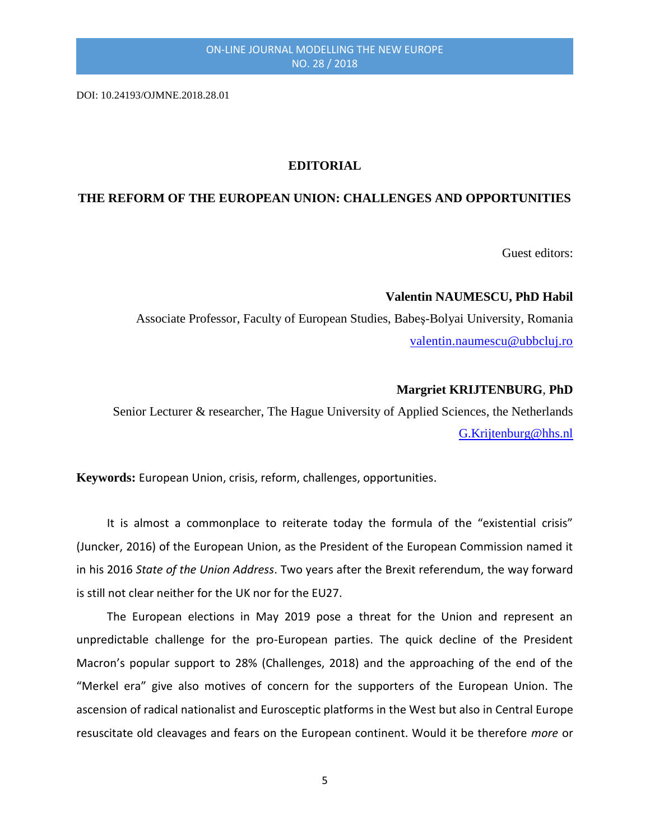DOI: 10.24193/OJMNE.2018.28.01

## **EDITORIAL**

## **THE REFORM OF THE EUROPEAN UNION: CHALLENGES AND OPPORTUNITIES**

Guest editors:

## **Valentin NAUMESCU, PhD Habil**

Associate Professor, Faculty of European Studies, Babeş-Bolyai University, Romania [valentin.naumescu@ubbcluj.ro](mailto:valentin.naumescu@ubbcluj.ro)

#### **Margriet KRIJTENBURG**, **PhD**

Senior Lecturer & researcher, The Hague University of Applied Sciences, the Netherlands [G.Krijtenburg@hhs.nl](mailto:G.Krijtenburg@hhs.nl)

**Keywords:** European Union, crisis, reform, challenges, opportunities.

It is almost a commonplace to reiterate today the formula of the "existential crisis" (Juncker, 2016) of the European Union, as the President of the European Commission named it in his 2016 *State of the Union Address*. Two years after the Brexit referendum, the way forward is still not clear neither for the UK nor for the EU27.

The European elections in May 2019 pose a threat for the Union and represent an unpredictable challenge for the pro-European parties. The quick decline of the President Macron's popular support to 28% (Challenges, 2018) and the approaching of the end of the "Merkel era" give also motives of concern for the supporters of the European Union. The ascension of radical nationalist and Eurosceptic platforms in the West but also in Central Europe resuscitate old cleavages and fears on the European continent. Would it be therefore *more* or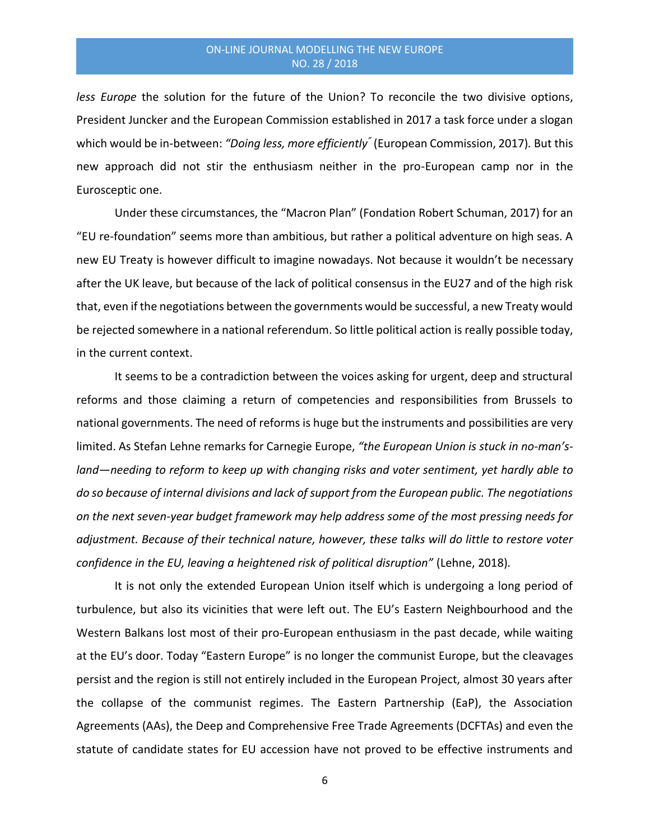*less Europe* the solution for the future of the Union? To reconcile the two divisive options, President Juncker and the European Commission established in 2017 a task force under a slogan which would be in-between: *"Doing less, more efficiently"* (European Commission, 2017)*.* But this new approach did not stir the enthusiasm neither in the pro-European camp nor in the Eurosceptic one.

Under these circumstances, the "Macron Plan" (Fondation Robert Schuman, 2017) for an "EU re-foundation" seems more than ambitious, but rather a political adventure on high seas. A new EU Treaty is however difficult to imagine nowadays. Not because it wouldn't be necessary after the UK leave, but because of the lack of political consensus in the EU27 and of the high risk that, even if the negotiations between the governments would be successful, a new Treaty would be rejected somewhere in a national referendum. So little political action is really possible today, in the current context.

It seems to be a contradiction between the voices asking for urgent, deep and structural reforms and those claiming a return of competencies and responsibilities from Brussels to national governments. The need of reforms is huge but the instruments and possibilities are very limited. As Stefan Lehne remarks for Carnegie Europe, *"the European Union is stuck in no-man'sland―needing to reform to keep up with changing risks and voter sentiment, yet hardly able to do so because of internal divisions and lack of support from the European public. The negotiations on the next seven-year budget framework may help address some of the most pressing needs for adjustment. Because of their technical nature, however, these talks will do little to restore voter confidence in the EU, leaving a heightened risk of political disruption"* (Lehne, 2018)*.*

It is not only the extended European Union itself which is undergoing a long period of turbulence, but also its vicinities that were left out. The EU's Eastern Neighbourhood and the Western Balkans lost most of their pro-European enthusiasm in the past decade, while waiting at the EU's door. Today "Eastern Europe" is no longer the communist Europe, but the cleavages persist and the region is still not entirely included in the European Project, almost 30 years after the collapse of the communist regimes. The Eastern Partnership (EaP), the Association Agreements (AAs), the Deep and Comprehensive Free Trade Agreements (DCFTAs) and even the statute of candidate states for EU accession have not proved to be effective instruments and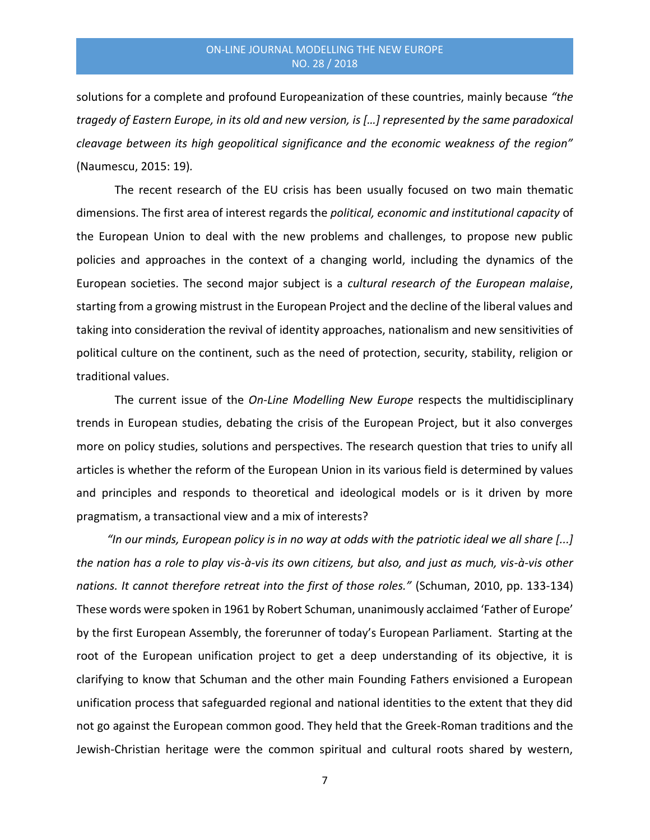solutions for a complete and profound Europeanization of these countries, mainly because *"the tragedy of Eastern Europe, in its old and new version, is […] represented by the same paradoxical cleavage between its high geopolitical significance and the economic weakness of the region"*  (Naumescu, 2015: 19)*.* 

The recent research of the EU crisis has been usually focused on two main thematic dimensions. The first area of interest regards the *political, economic and institutional capacity* of the European Union to deal with the new problems and challenges, to propose new public policies and approaches in the context of a changing world, including the dynamics of the European societies. The second major subject is a *cultural research of the European malaise*, starting from a growing mistrust in the European Project and the decline of the liberal values and taking into consideration the revival of identity approaches, nationalism and new sensitivities of political culture on the continent, such as the need of protection, security, stability, religion or traditional values.

The current issue of the *On-Line Modelling New Europe* respects the multidisciplinary trends in European studies, debating the crisis of the European Project, but it also converges more on policy studies, solutions and perspectives. The research question that tries to unify all articles is whether the reform of the European Union in its various field is determined by values and principles and responds to theoretical and ideological models or is it driven by more pragmatism, a transactional view and a mix of interests?

*"In our minds, European policy is in no way at odds with the patriotic ideal we all share [...] the nation has a role to play vis-à-vis its own citizens, but also, and just as much, vis-à-vis other nations. It cannot therefore retreat into the first of those roles."* (Schuman, 2010, pp. 133-134) These words were spoken in 1961 by Robert Schuman, unanimously acclaimed 'Father of Europe' by the first European Assembly, the forerunner of today's European Parliament. Starting at the root of the European unification project to get a deep understanding of its objective, it is clarifying to know that Schuman and the other main Founding Fathers envisioned a European unification process that safeguarded regional and national identities to the extent that they did not go against the European common good. They held that the Greek-Roman traditions and the Jewish-Christian heritage were the common spiritual and cultural roots shared by western,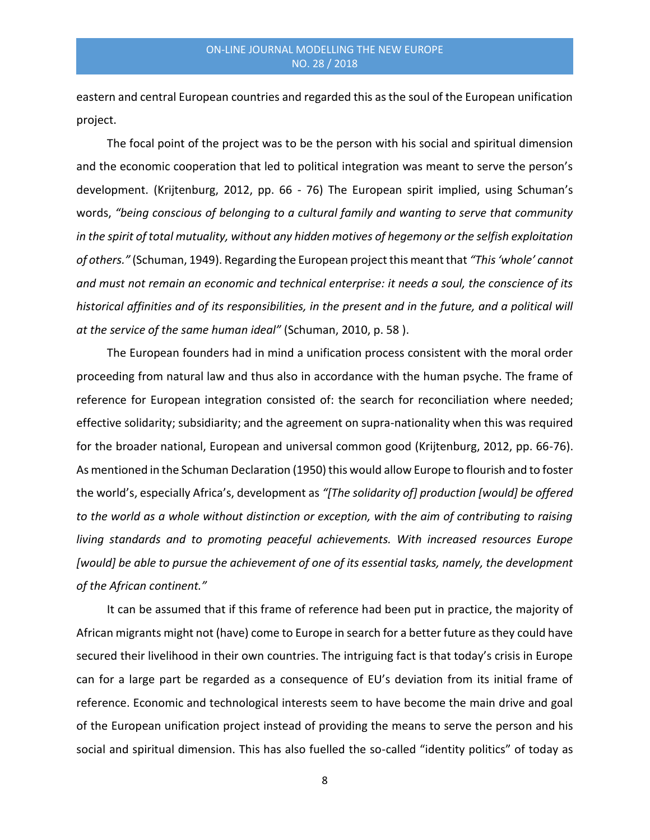eastern and central European countries and regarded this as the soul of the European unification project.

The focal point of the project was to be the person with his social and spiritual dimension and the economic cooperation that led to political integration was meant to serve the person's development. (Krijtenburg, 2012, pp. 66 - 76) The European spirit implied, using Schuman's words, *"being conscious of belonging to a cultural family and wanting to serve that community in the spirit of total mutuality, without any hidden motives of hegemony or the selfish exploitation of others."* (Schuman, 1949). Regarding the European project this meant that *"This 'whole' cannot and must not remain an economic and technical enterprise: it needs a soul, the conscience of its historical affinities and of its responsibilities, in the present and in the future, and a political will at the service of the same human ideal"* (Schuman, 2010, p. 58 ).

The European founders had in mind a unification process consistent with the moral order proceeding from natural law and thus also in accordance with the human psyche. The frame of reference for European integration consisted of: the search for reconciliation where needed; effective solidarity; subsidiarity; and the agreement on supra-nationality when this was required for the broader national, European and universal common good (Krijtenburg, 2012, pp. 66-76). As mentioned in the Schuman Declaration (1950) this would allow Europe to flourish and to foster the world's, especially Africa's, development as *"[The solidarity of] production [would] be offered to the world as a whole without distinction or exception, with the aim of contributing to raising living standards and to promoting peaceful achievements. With increased resources Europe [would] be able to pursue the achievement of one of its essential tasks, namely, the development of the African continent."*

It can be assumed that if this frame of reference had been put in practice, the majority of African migrants might not (have) come to Europe in search for a better future as they could have secured their livelihood in their own countries. The intriguing fact is that today's crisis in Europe can for a large part be regarded as a consequence of EU's deviation from its initial frame of reference. Economic and technological interests seem to have become the main drive and goal of the European unification project instead of providing the means to serve the person and his social and spiritual dimension. This has also fuelled the so-called "identity politics" of today as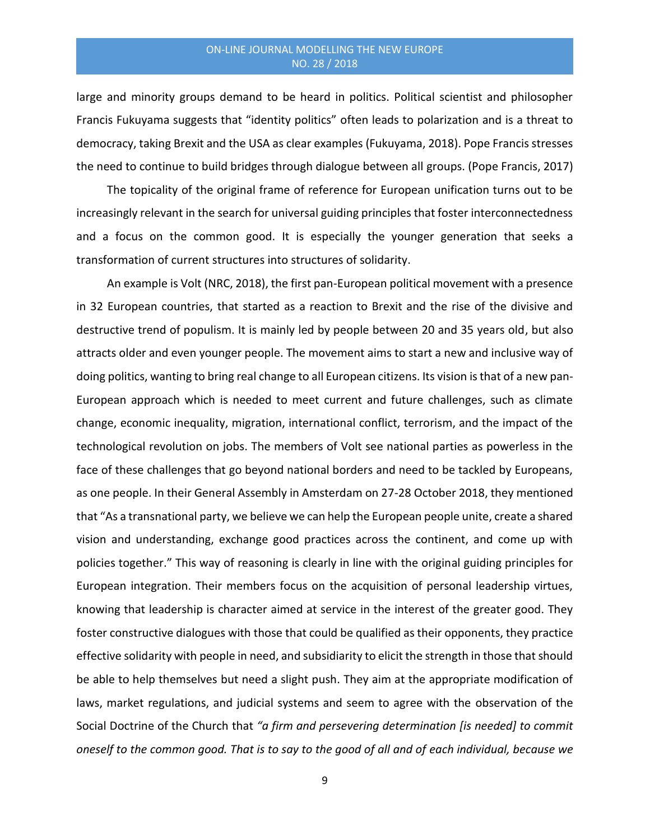large and minority groups demand to be heard in politics. Political scientist and philosopher Francis Fukuyama suggests that "identity politics" often leads to polarization and is a threat to democracy, taking Brexit and the USA as clear examples (Fukuyama, 2018). Pope Francis stresses the need to continue to build bridges through dialogue between all groups. (Pope Francis, 2017)

The topicality of the original frame of reference for European unification turns out to be increasingly relevant in the search for universal guiding principles that foster interconnectedness and a focus on the common good. It is especially the younger generation that seeks a transformation of current structures into structures of solidarity.

An example is Volt (NRC, 2018), the first pan-European political movement with a presence in 32 European countries, that started as a reaction to Brexit and the rise of the divisive and destructive trend of populism. It is mainly led by people between 20 and 35 years old, but also attracts older and even younger people. The movement aims to start a new and inclusive way of doing politics, wanting to bring real change to all European citizens. Its vision is that of a new pan-European approach which is needed to meet current and future challenges, such as climate change, economic inequality, migration, international conflict, terrorism, and the impact of the technological revolution on jobs. The members of Volt see national parties as powerless in the face of these challenges that go beyond national borders and need to be tackled by Europeans, as one people. In their General Assembly in Amsterdam on 27-28 October 2018, they mentioned that "As a transnational party, we believe we can help the European people unite, create a shared vision and understanding, exchange good practices across the continent, and come up with policies together." This way of reasoning is clearly in line with the original guiding principles for European integration. Their members focus on the acquisition of personal leadership virtues, knowing that leadership is character aimed at service in the interest of the greater good. They foster constructive dialogues with those that could be qualified as their opponents, they practice effective solidarity with people in need, and subsidiarity to elicit the strength in those that should be able to help themselves but need a slight push. They aim at the appropriate modification of laws, market regulations, and judicial systems and seem to agree with the observation of the Social Doctrine of the Church that *"a firm and persevering determination [is needed] to commit oneself to the common good. That is to say to the good of all and of each individual, because we*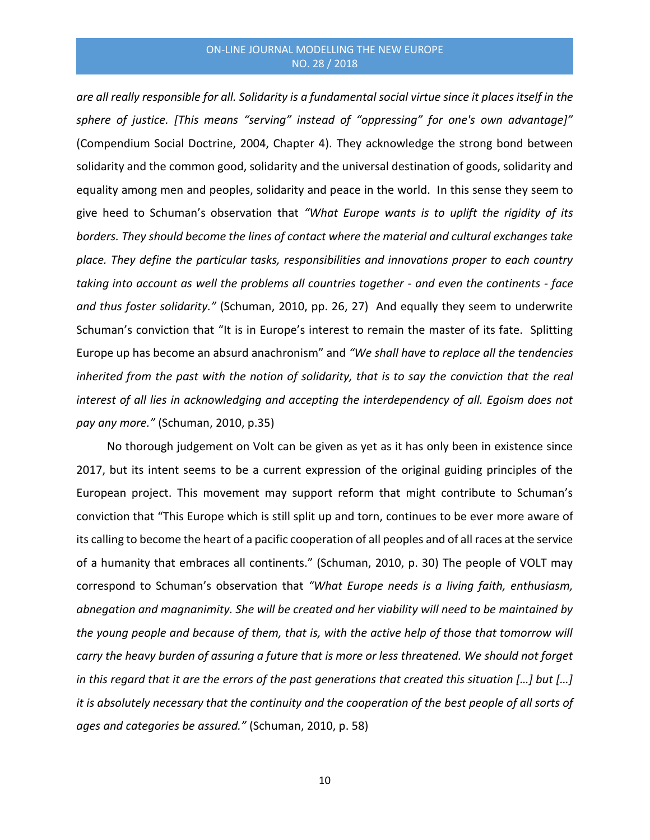*are all really responsible for all. Solidarity is a fundamental social virtue since it places itself in the sphere of justice. [This means "serving" instead of "oppressing" for one's own advantage]"* (Compendium Social Doctrine, 2004, Chapter 4). They acknowledge the strong bond between solidarity and the common good, solidarity and the universal destination of goods, solidarity and equality among men and peoples, solidarity and peace in the world. In this sense they seem to give heed to Schuman's observation that *"What Europe wants is to uplift the rigidity of its borders. They should become the lines of contact where the material and cultural exchanges take place. They define the particular tasks, responsibilities and innovations proper to each country taking into account as well the problems all countries together - and even the continents - face and thus foster solidarity."* (Schuman, 2010, pp. 26, 27) And equally they seem to underwrite Schuman's conviction that "It is in Europe's interest to remain the master of its fate. Splitting Europe up has become an absurd anachronism" and *"We shall have to replace all the tendencies inherited from the past with the notion of solidarity, that is to say the conviction that the real interest of all lies in acknowledging and accepting the interdependency of all. Egoism does not pay any more."* (Schuman, 2010, p.35)

No thorough judgement on Volt can be given as yet as it has only been in existence since 2017, but its intent seems to be a current expression of the original guiding principles of the European project. This movement may support reform that might contribute to Schuman's conviction that "This Europe which is still split up and torn, continues to be ever more aware of its calling to become the heart of a pacific cooperation of all peoples and of all races at the service of a humanity that embraces all continents." (Schuman, 2010, p. 30) The people of VOLT may correspond to Schuman's observation that *"What Europe needs is a living faith, enthusiasm, abnegation and magnanimity. She will be created and her viability will need to be maintained by the young people and because of them, that is, with the active help of those that tomorrow will carry the heavy burden of assuring a future that is more or less threatened. We should not forget in this regard that it are the errors of the past generations that created this situation […] but […] it is absolutely necessary that the continuity and the cooperation of the best people of all sorts of ages and categories be assured."* (Schuman, 2010, p. 58)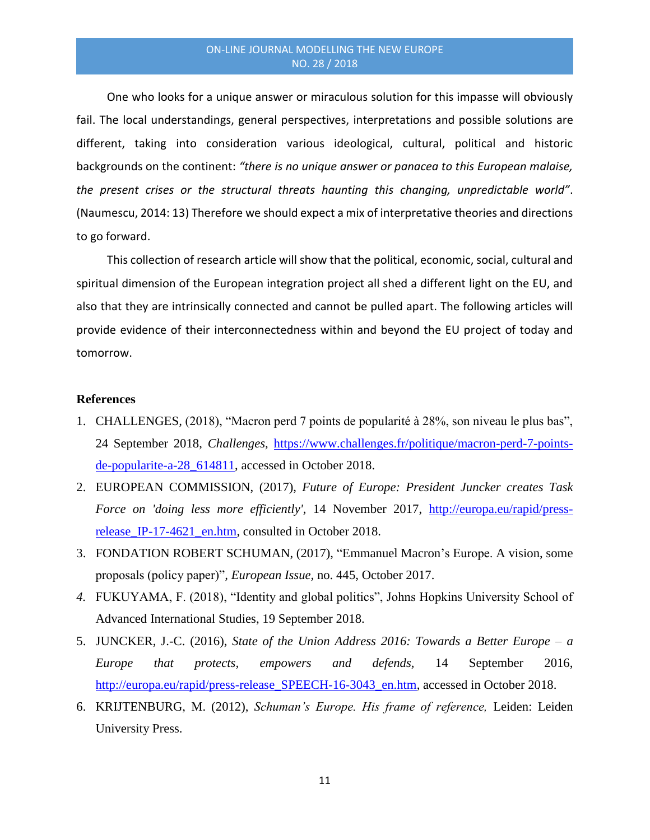One who looks for a unique answer or miraculous solution for this impasse will obviously fail. The local understandings, general perspectives, interpretations and possible solutions are different, taking into consideration various ideological, cultural, political and historic backgrounds on the continent: *"there is no unique answer or panacea to this European malaise, the present crises or the structural threats haunting this changing, unpredictable world"*. (Naumescu, 2014: 13) Therefore we should expect a mix of interpretative theories and directions to go forward.

This collection of research article will show that the political, economic, social, cultural and spiritual dimension of the European integration project all shed a different light on the EU, and also that they are intrinsically connected and cannot be pulled apart. The following articles will provide evidence of their interconnectedness within and beyond the EU project of today and tomorrow.

## **References**

- 1. CHALLENGES*,* (2018), "Macron perd 7 points de popularité à 28%, son niveau le plus bas", 24 September 2018, *Challenges,* [https://www.challenges.fr/politique/macron-perd-7-points](https://www.challenges.fr/politique/macron-perd-7-points-de-popularite-a-28_614811)[de-popularite-a-28\\_614811,](https://www.challenges.fr/politique/macron-perd-7-points-de-popularite-a-28_614811) accessed in October 2018.
- 2. EUROPEAN COMMISSION, (2017), *Future of Europe: President Juncker creates Task Force on 'doing less more efficiently',* 14 November 2017, [http://europa.eu/rapid/press](http://europa.eu/rapid/press-release_IP-17-4621_en.htm)release IP-17-4621 en.htm, consulted in October 2018.
- 3. FONDATION ROBERT SCHUMAN, (2017), "Emmanuel Macron's Europe. A vision, some proposals (policy paper)"*, European Issue,* no. 445, October 2017.
- *4.* FUKUYAMA, F. (2018), "Identity and global politics", Johns Hopkins University School of Advanced International Studies, 19 September 2018.
- 5. JUNCKER, J.-C. (2016), *State of the Union Address 2016: Towards a Better Europe a Europe that protects, empowers and defends,* 14 September 2016, [http://europa.eu/rapid/press-release\\_SPEECH-16-3043\\_en.htm,](http://europa.eu/rapid/press-release_SPEECH-16-3043_en.htm) accessed in October 2018.
- 6. KRIJTENBURG, M. (2012), *Schuman's Europe. His frame of reference,* Leiden: Leiden University Press.